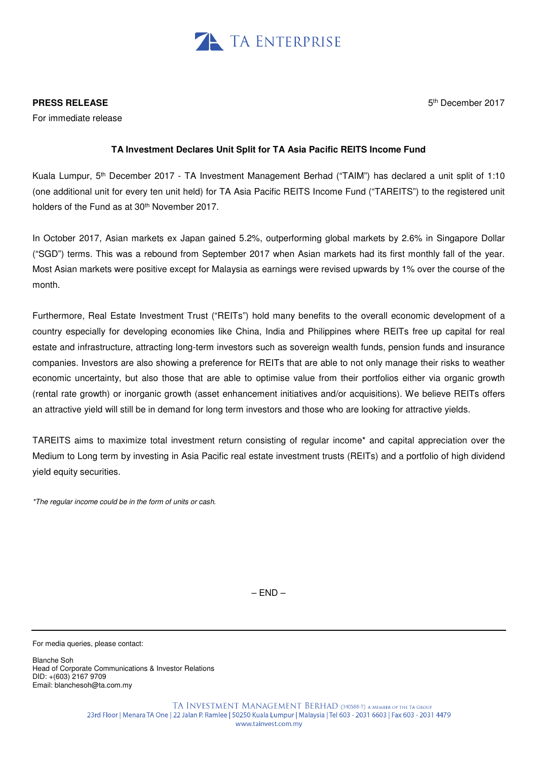

**PRESS RELEASE** 

For immediate release

5 th December 2017

## **TA Investment Declares Unit Split for TA Asia Pacific REITS Income Fund**

Kuala Lumpur, 5<sup>th</sup> December 2017 - TA Investment Management Berhad ("TAIM") has declared a unit split of 1:10 (one additional unit for every ten unit held) for TA Asia Pacific REITS Income Fund ("TAREITS") to the registered unit holders of the Fund as at 30<sup>th</sup> November 2017.

In October 2017, Asian markets ex Japan gained 5.2%, outperforming global markets by 2.6% in Singapore Dollar ("SGD") terms. This was a rebound from September 2017 when Asian markets had its first monthly fall of the year. Most Asian markets were positive except for Malaysia as earnings were revised upwards by 1% over the course of the month.

Furthermore, Real Estate Investment Trust ("REITs") hold many benefits to the overall economic development of a country especially for developing economies like China, India and Philippines where REITs free up capital for real estate and infrastructure, attracting long-term investors such as sovereign wealth funds, pension funds and insurance companies. Investors are also showing a preference for REITs that are able to not only manage their risks to weather economic uncertainty, but also those that are able to optimise value from their portfolios either via organic growth (rental rate growth) or inorganic growth (asset enhancement initiatives and/or acquisitions). We believe REITs offers an attractive yield will still be in demand for long term investors and those who are looking for attractive yields.

TAREITS aims to maximize total investment return consisting of regular income\* and capital appreciation over the Medium to Long term by investing in Asia Pacific real estate investment trusts (REITs) and a portfolio of high dividend yield equity securities.

\*The regular income could be in the form of units or cash.

 $-$  END  $-$ 

For media queries, please contact:

Blanche Soh Head of Corporate Communications & Investor Relations DID: +(603) 2167 9709 Email: blanchesoh@ta.com.my